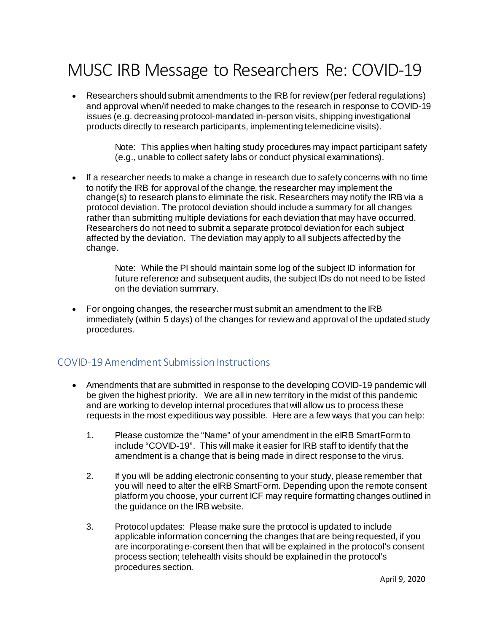# MUSC IRB Message to Researchers Re: COVID-19

• Researchers should submit amendments to the IRB for review (per federal regulations) and approval when/if needed to make changes to the research in response to COVID-19 issues (e.g. decreasing protocol-mandated in-person visits, shipping investigational products directly to research participants, implementing telemedicine visits).

> Note: This applies when halting study procedures may impact participant safety (e.g., unable to collect safety labs or conduct physical examinations).

• If a researcher needs to make a change in research due to safety concerns with no time to notify the IRB for approval of the change, the researcher may implement the change(s) to research plans to eliminate the risk. Researchers may notify the IRB via a protocol deviation. The protocol deviation should include a summary for all changes rather than submitting multiple deviations for each deviation that may have occurred. Researchers do not need to submit a separate protocol deviation for each subject affected by the deviation. The deviation may apply to all subjects affected by the change.

> Note: While the PI should maintain some log of the subject ID information for future reference and subsequent audits, the subject IDs do not need to be listed on the deviation summary.

• For ongoing changes, the researcher must submit an amendment to the IRB immediately (within 5 days) of the changes for review and approval of the updated study procedures.

## COVID-19 Amendment Submission Instructions

- Amendments that are submitted in response to the developing COVID-19 pandemic will be given the highest priority. We are all in new territory in the midst of this pandemic and are working to develop internal procedures that will allow us to process these requests in the most expeditious way possible. Here are a few ways that you can help:
	- 1. Please customize the "Name" of your amendment in the eIRB SmartForm to include "COVID-19". This will make it easier for IRB staff to identify that the amendment is a change that is being made in direct response to the virus.
	- 2. If you will be adding electronic consenting to your study, please remember that you will need to alter the eIRB SmartForm. Depending upon the remote consent platform you choose, your current ICF may require formatting changes outlined in the guidance on the IRB website.
	- 3. Protocol updates: Please make sure the protocol is updated to include applicable information concerning the changes that are being requested, if you are incorporating e-consent then that will be explained in the protocol's consent process section; telehealth visits should be explained in the protocol's procedures section.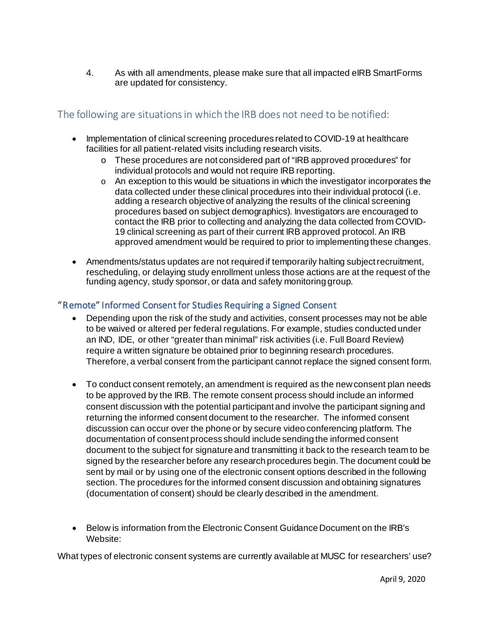4. As with all amendments, please make sure that all impacted eIRB SmartForms are updated for consistency.

# The following are situations in which the IRB does not need to be notified:

- Implementation of clinical screening procedures related to COVID-19 at healthcare facilities for all patient-related visits including research visits.
	- o These procedures are not considered part of "IRB approved procedures" for individual protocols and would not require IRB reporting.
	- $\circ$  An exception to this would be situations in which the investigator incorporates the data collected under these clinical procedures into their individual protocol (i.e. adding a research objective of analyzing the results of the clinical screening procedures based on subject demographics). Investigators are encouraged to contact the IRB prior to collecting and analyzing the data collected from COVID-19 clinical screening as part of their current IRB approved protocol. An IRB approved amendment would be required to prior to implementing these changes.
- Amendments/status updates are not required if temporarily halting subject recruitment, rescheduling, or delaying study enrollment unless those actions are at the request of the funding agency, study sponsor, or data and safety monitoring group.

## "Remote" Informed Consent for Studies Requiring a Signed Consent

- Depending upon the risk of the study and activities, consent processes may not be able to be waived or altered per federal regulations. For example, studies conducted under an IND, IDE, or other "greater than minimal" risk activities (i.e. Full Board Review) require a written signature be obtained prior to beginning research procedures. Therefore, a verbal consent from the participant cannot replace the signed consent form.
- To conduct consent remotely, an amendment is required as the new consent plan needs to be approved by the IRB. The remote consent process should include an informed consent discussion with the potential participant and involve the participant signing and returning the informed consent document to the researcher. The informed consent discussion can occur over the phone or by secure video conferencing platform. The documentation of consent process should include sending the informed consent document to the subject for signature and transmitting it back to the research team to be signed by the researcher before any research procedures begin. The document could be sent by mail or by using one of the electronic consent options described in the following section. The procedures for the informed consent discussion and obtaining signatures (documentation of consent) should be clearly described in the amendment.
- Below is information from the Electronic Consent Guidance Document on the IRB's Website:

What types of electronic consent systems are currently available at MUSC for researchers' use?